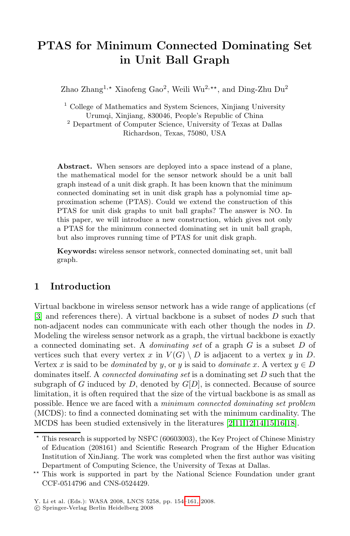# **PTAS for Minimum Connected Dominating Set in Unit Ball Graph**

Zhao Zhang<sup>1,\*</sup> Xiaofeng Gao<sup>2</sup>, Weili Wu<sup>2,\*\*</sup>, and Ding-Zhu Du<sup>2</sup>

<sup>1</sup> College of Mathematics and System Sciences, Xinjiang University Urumqi, Xinjiang, 830046, People's Republic of China <sup>2</sup> Department of Computer Science, University of Texas at Dallas Richardson, Texas, 75080, USA

**Abstract.** When sensors are deployed into a space instead of a plane, the mathematical model for the sensor network should be a unit ball graph instead of a unit disk graph. It has been known that the minimum connected dominating set in unit disk graph has a polynomial time approximation scheme (PTAS). Could we extend the construction of this PTAS for unit disk graphs to unit ball graphs? The answer is NO. In this paper, we will introduce a new construction, which gives not only a PTAS for the minimum connected dominating set in unit ball graph,

**Keywords:** wireless sensor network, connected dominating set, unit ball graph.

but also improves running time of PTAS for unit disk graph.

# **1 Introduction**

Virtual backbone in wireless sensor network has a wide range of applications (cf [3] and references there). A virtual backbone is a subset of nodes D such that non-adjacent nodes can communicate with each other though the nodes in D. Modeling the wireless sensor network as a graph, the virtual backbone is exactly a connected dominating set. A do[mi](#page-6-0)[nat](#page-7-0)[ing](#page-7-1) [se](#page-7-2)[t](#page-7-3) [of a](#page-7-4) [gr](#page-7-5)aph G is a subset D of vertices such that every vertex x in  $V(G) \setminus D$  is adjacent to a vertex y in D. Vertex x is said to be *dominated* by y, or y is said to *dominate x*. A vertex  $y \in D$ dominates itself. A connected dominating set is a dominating set D such that the subgraph of G induced by  $D$ , denoted by  $G[D]$ , is connected. Because of source limitation, it is often required that the size of the virtual backbone is as small as possible. Hence we are faced with a minimum connected dominating set problem (MCDS): to find a connected dominating set with the minimum cardinality. The MCDS has been studie[d ext](#page-7-6)ensively in the literatures [2,11,12,14,15,16,18].

<sup>-</sup> This research is supported by NSFC (60603003), the Key Project of Chinese Ministry of Education (208161) and Scientific Research Program of the Higher Education Institution of XinJiang. The work was completed when the first author was visiting Department of Computing Science, the University of Texas at Dallas.

<sup>\*\*</sup> This work is supported in part by the National Science Foundation under grant CCF-0514796 and CNS-0524429.

Y. Li et al. (Eds.): WASA 2008, LNCS 5258, pp. 154–161, 2008.

<sup>-</sup>c Springer-Verlag Berlin Heidelberg 2008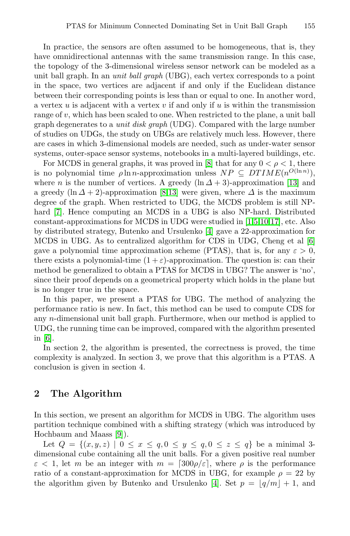In practice, the sensors are often assumed to be homogeneous, that is, they have omnidirectional antennas with the same transmission range. In this case, the topology of the 3-dimensional wireless sensor network can be modeled as a unit ball graph. In an unit ball graph (UBG), each vertex corresponds to a point in the space, two vertices a[re](#page-7-7) adjacent if and only if the Euclidean distance between their corresponding points is less than or equal to one. In another word, a vertex  $u$  [is](#page-7-8) adjacent with a vertex  $v$  if and only if  $u$  is within the transmission range of  $v$ , which [h](#page-7-7)[as b](#page-7-8)een scaled to one. When restricted to the plane, a unit ball graph degenerates to a unit disk graph (UDG). Compared with the large number of studies on UDGs, the study on UBGs are relatively much less. However, there are cases in which 3-dimensional models [ar](#page-6-1)[e](#page-6-2) [nee](#page-7-9)[ded](#page-7-10), such as under-water sensor systems, outer-space sensor s[yst](#page-6-3)ems, notebooks in a multi-layered buildings, etc.

For MCDS in general graphs, it was proved in [8] that fo[r a](#page-6-4)ny  $0 < \rho < 1$ , there is no polynomial time  $\rho \ln n$ -approximation unless  $NP \subseteq DTIME(n^{O(\ln n)}),$ where *n* is the number of vertices. A greedy  $(\ln \Delta + 3)$ -approximation [13] and a greedy  $(\ln \Delta + 2)$ -approximation [8,13] were given, where  $\Delta$  is the maximum degree of the graph. When restricted to UDG, the MCDS problem is still NPhard [7]. Hence computing an MCDS in a UBG is also NP-hard. Distributed constant-approximations for MCDS in UDG were studied in [1,5,10,17], etc. Also by distributed strategy, Butenko and Ursulenko [4] gave a 22-approximation for MCDS in UBG. As to centralized algorithm for CDS in UDG, Cheng et al [6] gave a polynomial time approximation scheme (PTAS), that is, for any  $\varepsilon > 0$ , there exists a polynomial-time  $(1 + \varepsilon)$ -approximation. The question is: can their method be generalized to obtain a PTAS for MCDS in UBG? The answer is 'no', since their proof depends on a geometrical property which holds in the plane but is no longer true in the space.

In this paper, we present a PTAS for UBG. The method of analyzing the performance ratio is new. In fact, this method can be used to compute CDS for any n-dimensional unit ball graph. Furthermore, when our method is applied to UDG, the running time can be improved, compared with the algorithm presented in [6].

In section 2, the algorithm is presented, the correctness is proved, the time com[pl](#page-7-11)exity is analyzed. In section 3, we prove that this algorithm is a PTAS. A conclusion is given in section 4.

# **2 The Algorithm**

In this section, we present an a[lgo](#page-6-3)rithm for MCDS in UBG. The algorithm uses partition technique combined with a shifting strategy (which was introduced by Hochbaum and Maass [9]).

Let  $Q = \{(x, y, z) | 0 \le x \le q, 0 \le y \le q, 0 \le z \le q\}$  be a minimal 3dimensional cube containing all the unit balls. For a given positive real number  $\varepsilon$  < 1, let m be an integer with  $m = \lceil 300 \rho/\varepsilon \rceil$ , where  $\rho$  is the performance ratio of a constant-approximation for MCDS in UBG, for example  $\rho = 22$  by the algorithm given by Butenko and Ursulenko [4]. Set  $p = |q/m| + 1$ , and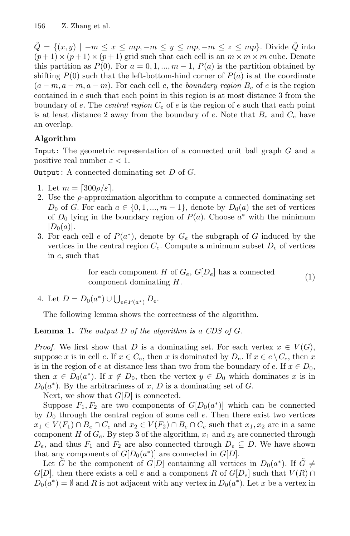$Q = \{(x, y) \mid -m \leq x \leq mp, -m \leq y \leq mp, -m \leq z \leq mp\}$ . Divide Q into  $(p+1) \times (p+1) \times (p+1)$  grid such that each cell is an  $m \times m \times m$  cube. Denote this partition as  $P(0)$ . For  $a = 0, 1, ..., m - 1$ ,  $P(a)$  is the partition obtained by shifting  $P(0)$  such that the left-bottom-hind corner of  $P(a)$  is at the coordinate  $(a-m, a-m, a-m)$ . For each cell e, the boundary region  $B_e$  of e is the region contained in e such that each point in this region is at most distance 3 from the boundary of e. The central region  $C_e$  of e is the region of e such that each point is at least distance 2 away from the boundary of e. Note that  $B_e$  and  $C_e$  have an overlap.

# **Algorithm**

Input: The geometric representation of a connected unit ball graph G and a positive real number  $\varepsilon < 1$ .

**Output:** A connected dominating set  $D$  of  $G$ .

- 1. Let  $m = \lceil 300 \rho/\varepsilon \rceil$ .
- 2. Use the  $\rho$ -approximation algorithm to compute a connected dominating set  $D_0$  of G. For each  $a \in \{0, 1, ..., m-1\}$ , denote by  $D_0(a)$  the set of vertices of  $D_0$  lying in the boundary region of  $P(a)$ . Choose  $a^*$  with the minimum  $|D_0(a)|.$
- 3. For each cell e of  $P(a^*)$ , denote by  $G_e$  the subgraph of G induced by the vertices in the central region  $C_e$ . Compute a minimum subset  $D_e$  of vertices in e, such that

for each component H of  $G_e$ ,  $G[D_e]$  has a connected component dominating  $H$ . (1)

<span id="page-2-0"></span>4. Let  $D = D_0(a^*) \cup \bigcup_{e \in P(a^*)} D_e$ .

The following lemma shows the correctness of the algorithm.

**Lemma 1.** The output D of the algorithm is a CDS of G.

*Proof.* We first show that D is a dominating set. For each vertex  $x \in V(G)$ , suppose x is in cell e. If  $x \in C_e$ , then x is dominated by  $D_e$ . If  $x \in e \setminus C_e$ , then x is in the region of e at distance less than two from the boundary of e. If  $x \in D_0$ , then  $x \in D_0(a^*)$ . If  $x \notin D_0$ , then the vertex  $y \in D_0$  which dominates x is in  $D_0(a^*)$ . By the arbitrariness of x, D is a dominating set of G.

Next, we show that  $G[D]$  is connected.

Suppose  $F_1, F_2$  are two components of  $G[D_0(a^*)]$  which can be connected by  $D_0$  through the central region of some cell  $e$ . Then there exist two vertices  $x_1 \in V(F_1) \cap B_e \cap C_e$  and  $x_2 \in V(F_2) \cap B_e \cap C_e$  such that  $x_1, x_2$  are in a same component H of  $G_e$ . By step 3 of the algorithm,  $x_1$  and  $x_2$  are connected through  $D_e$ , and thus  $F_1$  and  $F_2$  are also connected through  $D_e \subseteq D$ . We have shown that any components of  $G[D_0(a^*)]$  are connected in  $G[D]$ .

Let  $\tilde{G}$  be the component of  $G[D]$  containing all vertices in  $D_0(a^*)$ . If  $\tilde{G} \neq$  $G[D]$ , then there exists a cell e and a component R of  $G[D_e]$  such that  $V(R) \cap$  $D_0(a^*) = \emptyset$  and R is not adjacent with any vertex in  $D_0(a^*)$ . Let x be a vertex in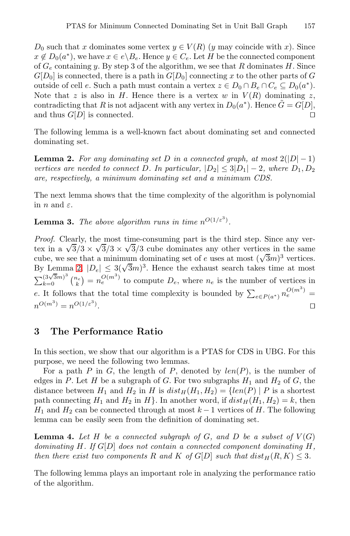$D_0$  such that x dominates some vertex  $y \in V(R)$  (y may coincide with x). Since  $x \notin D_0(a^*)$ , we have  $x \in e \backslash B_e$ . Hence  $y \in C_e$ . Let H be the connected component of  $G_e$  containing y. By step 3 of the algorithm, we see that R dominates H. Since  $G[D_0]$  is connected, there is a path in  $G[D_0]$  connecting x to the other parts of G outside of cell e. Such a path must contain a vertex  $z \in D_0 \cap B_e \cap C_e \subseteq D_0(a^*).$ Note that z is also in H. Hence there is a vertex w in  $V(R)$  dominating z, contradicting that R is not adjacent with any vertex in  $D_0(a^*)$ . Hence  $\tilde{G} = G[D]$ , and thus  $G[D]$  is connected.

The following lemma is a well-known fact about dominating set and connected dominating set.

**Lemma 2.** For any dominating set D in a connected graph, at most  $2(|D|-1)$ vertices are needed to connect D. In particular,  $|D_2| \leq 3|D_1| - 2$ , where  $D_1, D_2$ are, respectively, a minimum dominating set and a minimum CDS.

The next lemma shows that the time complexity of the algorithm is polynomial in  $n$  and  $\varepsilon$ .

**Lemma 3.** The above algorithm runs in time  $n^{O(1/\varepsilon^3)}$ .

Proof. Clearly, the most time-consuming part is the third step. Since any ver*troof.* Clearly, the most time-consuming part is the time step. Since any vertex in a  $\sqrt{3}/3 \times \sqrt{3}/3$  cube dominates any other vertices in the same cube, we see that a minimum dominating set of e uses at most  $(\sqrt{3}m)^3$  vertices. cube, we see that a minimum dominating set of e uses at most  $(\sqrt{3m})^3$  vertices.<br>By Lemma 2,  $|D_e| \leq 3(\sqrt{3m})^3$ . Hence the exhaust search takes time at most  $\sum_{k=0}^{\infty} \frac{(3\sqrt{3}m)^3}{k}$  ( $\frac{n_e}{k}$ ) =  $n_e^{O(m^3)}$  to compute  $D_e$ , where  $n_e$  is the number of vertices in e. It follows that the total time complexity is bounded by  $\sum_{e \in P(a^*)} n_e^{O(m^3)} =$  $n^{O(m^3)} = n^{O(1/\varepsilon^3)}$ .

# **3 The Performance Ratio**

<span id="page-3-0"></span>In this section, we show that our algorithm is a PTAS for CDS in UBG. For this purpose, we need the following two lemmas.

For a path P in G, the length of P, denoted by  $len(P)$ , is the number of edges in P. Let H be a subgraph of G. For two subgraphs  $H_1$  and  $H_2$  of G, the distance between  $H_1$  and  $H_2$  in H is  $dist_H(H_1, H_2) = \{len(P) | P$  is a shortest path connecting  $H_1$  and  $H_2$  in  $H$ . In another word, if  $dist_H(H_1, H_2) = k$ , then  $H_1$  and  $H_2$  can be connected through at most  $k-1$  vertices of H. The following lemma can be easily seen from the definition of dominating set.

<span id="page-3-1"></span>**Lemma 4.** Let  $H$  be a connected subgraph of  $G$ , and  $D$  be a subset of  $V(G)$ dominating H. If  $G[D]$  does not contain a connected component dominating H. then there exist two components R and K of G[D] such that  $dist_H(R,K) \leq 3$ .

The following lemma plays an important role in analyzing the performance ratio of the algorithm.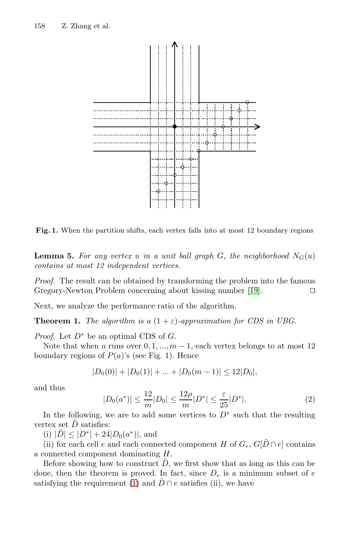158 Z. Zhang et al.



Fig. 1. When the partition shifts, each vertex falls into at most 12 boundary regions

**Lemma 5.** For any vertex u in a unit ball graph G, the neighborhood  $N_G(u)$ contains at most 12 independent vertices.

Proof. The result can be obtained by transforming the problem into the famous Gregory-Newton Problem concerning about kissing number [19].

Next, we analyze the performance ratio of the algorithm.

**Theorem 1.** The algorithm is a  $(1 + \varepsilon)$ -approximation for CDS in UBG.

*Proof.* Let  $D^*$  be an optimal CDS of  $G$ .

Note that when a runs over  $0, 1, ..., m-1$ , each vertex belongs to at most 12 boundary regions of  $P(a)$ 's (see Fig. 1). Hence

$$
|D_0(0)| + |D_0(1)| + \dots + |D_0(m-1)| \le 12|D_0|,
$$

and thus

$$
|D_0(a^*)| \le \frac{12}{m}|D_0| \le \frac{12\rho}{m}|D^*| \le \frac{\varepsilon}{25}|D^*|.
$$
 (2)

In th[e](#page-2-0) [f](#page-2-0)ollowing, we are to add some vertices to  $D^*$  such that the resulting vertex set  $\ddot{D}$  satisfies:

(i)  $|\tilde{D}| \leq |D^*| + 24|D_0(a^*)|$ , and

(ii) for each cell e and each connected component H of  $G_e$ ,  $G[\tilde{D} \cap e]$  contains a connected component dominating H.

Before showing how to construct  $\tilde{D}$ , we first show that as long as this can be done, then the theorem is proved. In fact, since  $D_e$  is a minimum subset of e satisfying the requirement (1) and  $\tilde{D} \cap e$  satisfies (ii), we have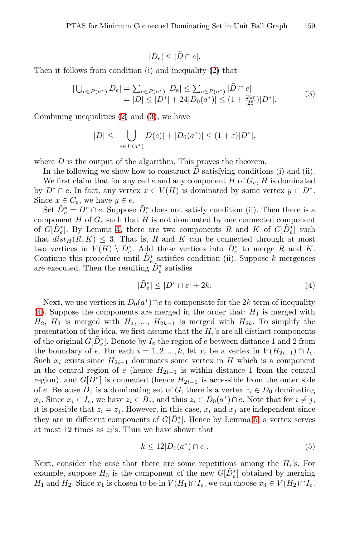$$
|D_e| \leq |\tilde{D} \cap e|.
$$

Then it follows from condition (i) and inequality (2) that

$$
|\bigcup_{e \in P(a^*)} D_e| = \sum_{e \in P(a^*)} |D_e| \le \sum_{e \in P(a^*)} |\tilde{D} \cap e|
$$
  
=  $|\tilde{D}| \le |D^*| + 24|D_0(a^*)| \le (1 + \frac{24\varepsilon}{25})|D^*|.$  (3)

Combining inequalities (2) and (3), we have

$$
|D| \leq |\bigcup_{e \in P(a^*)} D(e)| + |D_0(a^*)| \leq (1+\varepsilon)|D^*|,
$$

whe[re](#page-3-0)  $D$  is the output of the algorithm. This proves the theorem.

In the following we show how to construct  $\tilde{D}$  satisfying conditions (i) and (ii). We first claim that for any cell  $e$  and any component  $H$  of  $G_e$ ,  $H$  is dominated by  $D^* \cap e$ . In fact, any vertex  $x \in V(H)$  is dominated by some vertex  $y \in D^*$ . Since  $x \in C_e$ , we have  $y \in e$ .

Set  $\tilde{D}_e^* = D^* \cap e$ . Suppose  $\tilde{D}_e^*$  does not satisfy condition (ii). Then there is a component  $H$  of  $G_e$  such that  $H$  is not dominated by one connected component of  $G[\tilde{D}_e^*]$ . By Lemma 4, there are two components R and K of  $G[\tilde{D}_e^*]$  such that  $dist_H(R,K) \leq 3$ . That is, R and K can be connected through at most two vertices in  $V(H) \setminus \tilde{D}^*_{e}$ . Add these vertices into  $\tilde{D}^*_{e}$  to merge R and K. Continue this procedure until  $\tilde{D}_e^*$  satisfies condition (ii). Suppose k mergences are executed. Then the resulting  $\tilde{D}_e^*$  satisfies

$$
|\tilde{D}_e^*| \le |D^* \cap e| + 2k. \tag{4}
$$

Next, we use vertices in  $D_0(a^*) \cap e$  to compensate for the 2k term of inequality (4). Suppose the components are merged in the order that:  $H_1$  is merged with  $H_2$ ,  $H_3$  is merged with  $H_4$ , ...,  $H_{2k-1}$  is merged with  $H_{2k}$ . To simplify the presentation of the idea, we first assume that the  $H_i$ 's are all distinct components of the original  $G[\tilde{D}_e^*]$ . Denote by  $I_e$  the regi[on](#page-3-1) of e between distance 1 and 2 from the boundary of e. For each  $i = 1, 2, ..., k$ , let  $x_i$  be a vertex in  $V(H_{2i-1}) \cap I_e$ . Such  $x_i$  exists since  $H_{2i-1}$  dominates some vertex in H which is a component in the central region of e (hence  $H_{2i-1}$  is within distance 1 from the central region), and  $G[D^*]$  is connected (hence  $H_{2i-1}$  is accessible from the outer side of e. Because  $D_0$  is a dominating set of G, there is a vertex  $z_i \in D_0$  dominating  $x_i$ . Since  $x_i \in I_e$ , we have  $z_i \in B_e$ , and thus  $z_i \in D_0(a^*) \cap e$ . Note that for  $i \neq j$ , it is possible that  $z_i = z_j$ . However, in this case,  $x_i$  and  $x_j$  are independent since they are in different components of  $G[\tilde{D}_e^*]$ . Hence by Lemma 5, a vertex serves at most 12 times as  $z_i$ 's. Thus we have shown that

$$
k \le 12|D_0(a^*) \cap e|.\tag{5}
$$

Next, consider the case that there are some repetitions among the  $H_i$ 's. For example, suppose  $H_3$  is the component of the new  $G[\tilde{D}_e^*]$  obtained by merging H<sub>1</sub> and H<sub>2</sub>. Since  $x_1$  is chosen to be in  $V(H_1) \cap I_e$ , we can choose  $x_3 \in V(H_2) \cap I_e$ .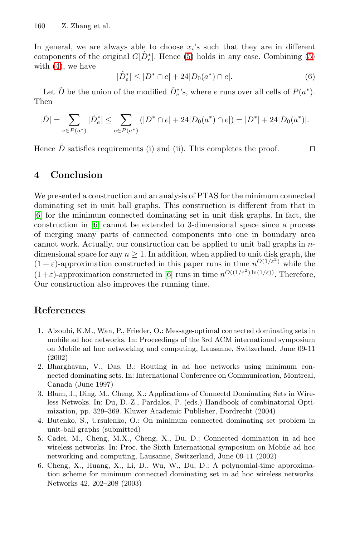160 Z. Zhang et al.

In general, we are always able to choose  $x_i$ 's such that they are in different components of the original  $G[\tilde{D}_e^*]$ . Hence (5) holds in any case. Combining (5) with  $(4)$ , we have

$$
|\tilde{D}_e^*| \le |D^* \cap e| + 24|D_0(a^*) \cap e|.
$$
 (6)

Let  $\tilde{D}$  be the union of the modified  $\tilde{D}_e^*$ 's, where e runs over all cells of  $P(a^*)$ . Then

$$
|\tilde{D}| = \sum_{e \in P(a^*)} |\tilde{D}^*_e| \le \sum_{e \in P(a^*)} (|D^* \cap e| + 24|D_0(a^*) \cap e|) = |D^*| + 24|D_0(a^*)|.
$$

Hence  $\tilde{D}$  satisfies requirements (i) and (ii). This completes the proof.

# **4 Conclusion**

<span id="page-6-1"></span>We presented a co[nst](#page-6-4)ruction and an analysis of PTAS for the minimum connected dominating set in unit ball graphs. This construction is different from that in [6] for the minimum connected dominating set in unit disk graphs. In fact, the construction in [6] cannot be extended to 3-dimensional space since a process of merging many parts of connected components into one in boundary area cannot work. Actually, our construction can be applied to unit ball graphs in  $n$ dimensional space for any  $n \geq 1$ . In addition, when applied to unit disk graph, the  $(1 + \varepsilon)$ -approximation constructed in this paper runs in time  $n^{O(1/\varepsilon^2)}$  while the  $(1+\varepsilon)$ -approximation constructed in [6] runs in time  $n^{O((1/\varepsilon^2)\ln(1/\varepsilon))}$ . Therefore, Our construction also improves the running time.

# <span id="page-6-3"></span><span id="page-6-0"></span>**References**

- 1. Alzoubi, K.M., Wan, P., Frieder, O.: Message-optimal connected dominating sets in mobile ad hoc networks. In: Proceedings of the 3rd ACM international symposium on Mobile ad hoc networking and computing, Lausanne, Switzerland, June 09-11 (2002)
- <span id="page-6-2"></span>2. Bharghavan, V., Das, B.: Routing in ad hoc networks using minimum connected dominating sets. In: International Conference on Communication, Montreal, Canada (June 1997)
- <span id="page-6-4"></span>3. Blum, J., Ding, M., Cheng, X.: Applications of Connectd Dominating Sets in Wireless Netwoks. In: Du, D.-Z., Pardalos, P. (eds.) Handbook of combinatorial Optimization, pp. 329–369. Kluwer Academic Publisher, Dordrecht (2004)
- 4. Butenko, S., Ursulenko, O.: On minimum connected dominating set problem in unit-ball graphs (submitted)
- 5. Cadei, M., Cheng, M.X., Cheng, X., Du, D.: Connected domination in ad hoc wireless networks. In: Proc. the Sixth International symposium on Mobile ad hoc networking and computing, Lausanne, Switzerland, June 09-11 (2002)
- 6. Cheng, X., Huang, X., Li, D., Wu, W., Du, D.: A polynomial-time approximation scheme for minimum connected dominating set in ad hoc wireless networks. Networks 42, 202–208 (2003)